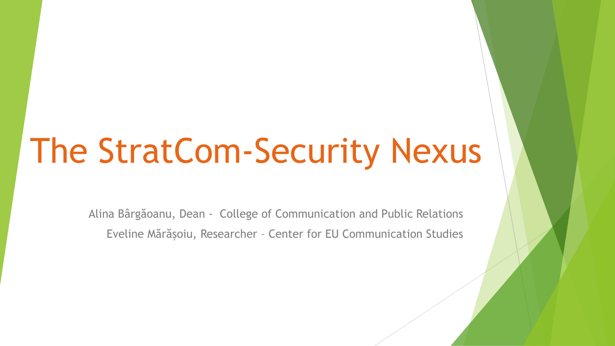# The StratCom-Security Nexus

Alina Bârgăoanu, Dean - College of Communication and Public Relations Eveline Mărășoiu, Researcher – Center for EU Communication Studies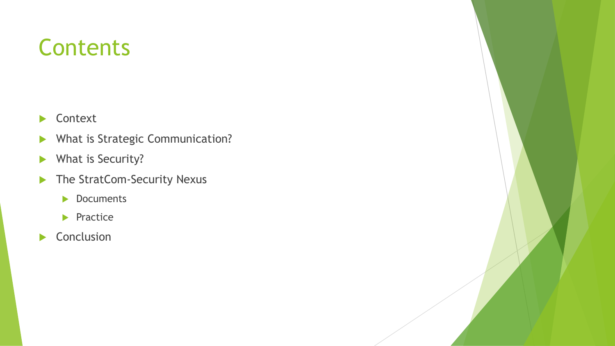# **Contents**

- **Context**
- What is Strategic Communication?
- What is Security?
- The StratCom-Security Nexus
	- Documents
	- $\blacktriangleright$  Practice
- Conclusion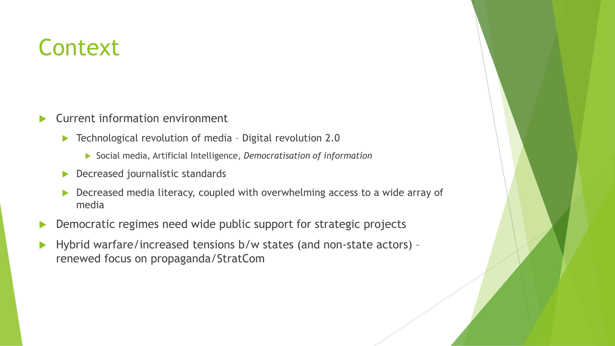# **Context**

- Current information environment
	- ▶ Technological revolution of media Digital revolution 2.0
		- Social media, Artificial Intelligence, *Democratisation of information*
	- **Decreased journalistic standards**
	- **Decreased media literacy, coupled with overwhelming access to a wide array of** media
- **Democratic regimes need wide public support for strategic projects**
- ▶ Hybrid warfare/increased tensions b/w states (and non-state actors) renewed focus on propaganda/StratCom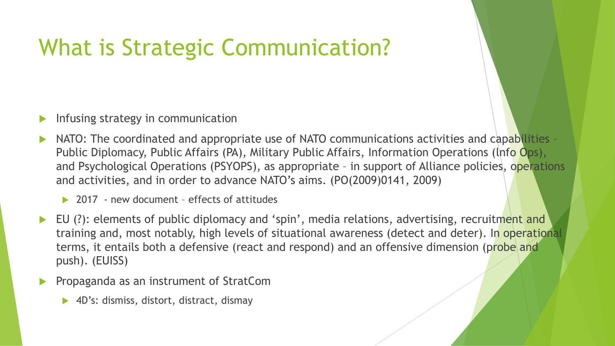# What is Strategic Communication?

- Infusing strategy in communication
- NATO: The coordinated and appropriate use of NATO communications activities and capabilities -Public Diplomacy, Public Affairs (PA), Military Public Affairs, Information Operations (lnfo Ops), and Psychological Operations (PSYOPS), as appropriate - in support of Alliance policies, operations and activities, and in order to advance NATO's aims. (PO(2009)0141, 2009)
	- ▶ 2017 new document effects of attitudes
- EU (?): elements of public diplomacy and 'spin', media relations, advertising, recruitment and training and, most notably, high levels of situational awareness (detect and deter). In operational terms, it entails both a defensive (react and respond) and an offensive dimension (probe and push). (EUISS)
- Propaganda as an instrument of StratCom
	- ▶ 4D's: dismiss, distort, distract, dismay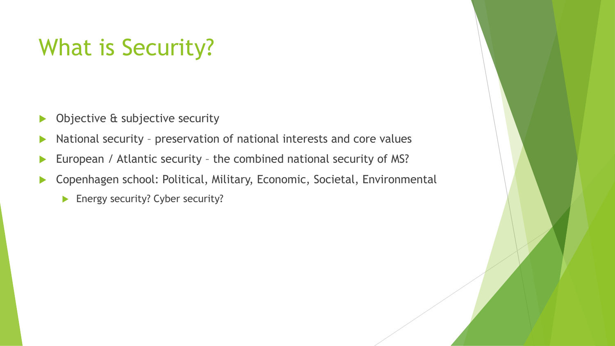# What is Security?

- **Diective & subjective security**
- National security preservation of national interests and core values
- European / Atlantic security the combined national security of MS?
- ▶ Copenhagen school: Political, Military, Economic, Societal, Environmental
	- **Energy security? Cyber security?**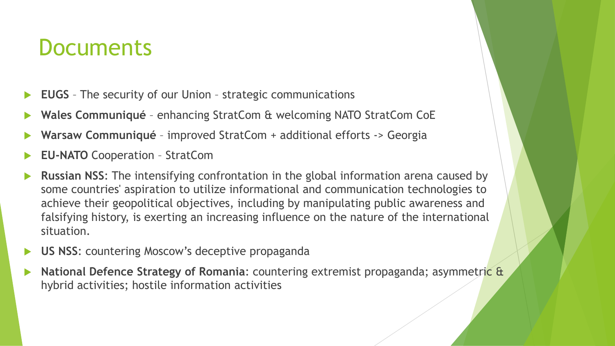### **Documents**

- **EUGS** The security of our Union strategic communications
- **Wales Communiqué**  enhancing StratCom & welcoming NATO StratCom CoE
- **Warsaw Communiqué**  improved StratCom + additional efforts -> Georgia
- **EU-NATO** Cooperation StratCom
- **Russian NSS**: The intensifying confrontation in the global information arena caused by some countries' aspiration to utilize informational and communication technologies to achieve their geopolitical objectives, including by manipulating public awareness and falsifying history, is exerting an increasing influence on the nature of the international situation.
- **US NSS**: countering Moscow's deceptive propaganda
- **National Defence Strategy of Romania**: countering extremist propaganda; asymmetric & hybrid activities; hostile information activities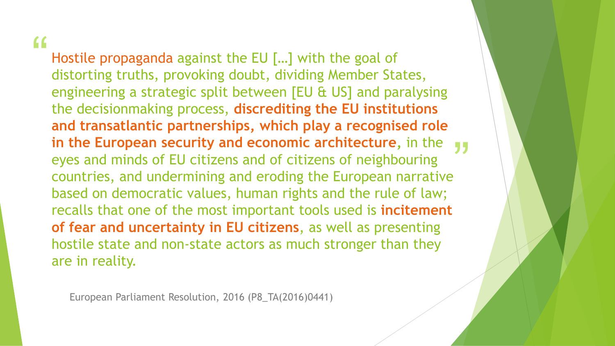#### "

**in the European security and economic architecture,** in the **yy**<br>eyes and minds of EU citizens and of citizens of neighbouring<br>countries, and undermining and eroding the European narrative Hostile propaganda against the EU [...] with the goal of distorting truths, provoking doubt, dividing Member States, engineering a strategic split between [EU & US] and paralysing the decisionmaking process, **discrediting the EU institutions and transatlantic partnerships, which play a recognised role**  eyes and minds of EU citizens and of citizens of neighbouring countries, and undermining and eroding the European narrative based on democratic values, human rights and the rule of law; recalls that one of the most important tools used is **incitement of fear and uncertainty in EU citizens**, as well as presenting hostile state and non-state actors as much stronger than they are in reality.

European Parliament Resolution, 2016 (P8\_TA(2016)0441)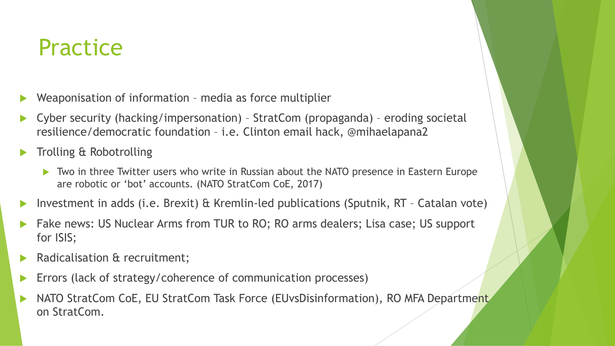## **Practice**

- Weaponisation of information media as force multiplier
- Cyber security (hacking/impersonation) StratCom (propaganda) eroding societal resilience/democratic foundation – i.e. Clinton email hack, @mihaelapana2
- Trolling & Robotrolling
	- ▶ Two in three Twitter users who write in Russian about the NATO presence in Eastern Europe are robotic or 'bot' accounts. (NATO StratCom CoE, 2017)
- Investment in adds (i.e. Brexit) & Kremlin-led publications (Sputnik, RT Catalan vote)
- Fake news: US Nuclear Arms from TUR to RO; RO arms dealers; Lisa case; US support for ISIS;
- Radicalisation & recruitment;
- Errors (lack of strategy/coherence of communication processes)
- ▶ NATO StratCom CoE, EU StratCom Task Force (EUvsDisinformation), RO MFA Department on StratCom.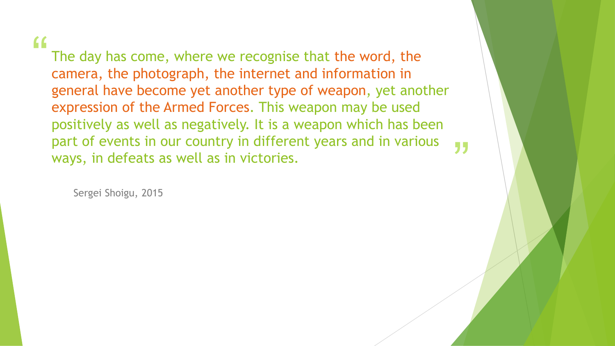#### "

The day has come, where we recognise that the word, the camera, the photograph, the internet and information in general have become yet another type of weapon, yet another expression of the Armed Forces. This weapon may be used positively as well as negatively. It is a weapon which has been part of events in our country in different years and in various ways, in defeats as well as in victories.

"

Sergei Shoigu, 2015